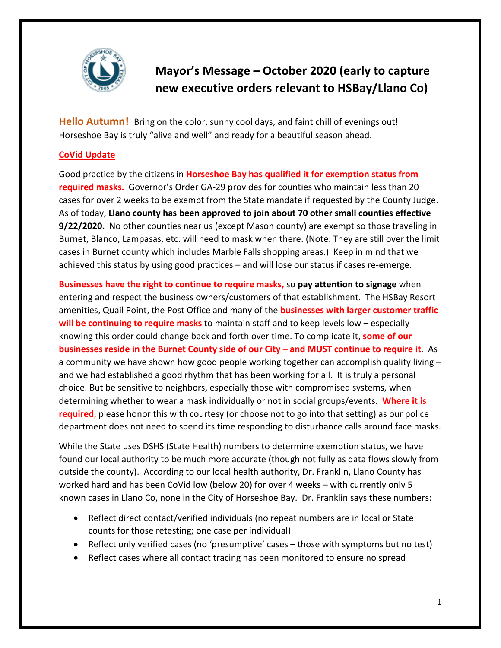

# **Mayor's Message – October 2020 (early to capture new executive orders relevant to HSBay/Llano Co)**

**Hello Autumn!** Bring on the color, sunny cool days, and faint chill of evenings out! Horseshoe Bay is truly "alive and well" and ready for a beautiful season ahead.

## **CoVid Update**

Good practice by the citizens in **Horseshoe Bay has qualified it for exemption status from required masks.** Governor's Order GA-29 provides for counties who maintain less than 20 cases for over 2 weeks to be exempt from the State mandate if requested by the County Judge. As of today, **Llano county has been approved to join about 70 other small counties effective 9/22/2020.** No other counties near us (except Mason county) are exempt so those traveling in Burnet, Blanco, Lampasas, etc. will need to mask when there. (Note: They are still over the limit cases in Burnet county which includes Marble Falls shopping areas.) Keep in mind that we achieved this status by using good practices – and will lose our status if cases re-emerge.

**Businesses have the right to continue to require masks,** so **pay attention to signage** when entering and respect the business owners/customers of that establishment. The HSBay Resort amenities, Quail Point, the Post Office and many of the **businesses with larger customer traffic will be continuing to require masks** to maintain staff and to keep levels low – especially knowing this order could change back and forth over time. To complicate it, **some of our businesses reside in the Burnet County side of our City – and MUST continue to require it**. As a community we have shown how good people working together can accomplish quality living – and we had established a good rhythm that has been working for all. It is truly a personal choice. But be sensitive to neighbors, especially those with compromised systems, when determining whether to wear a mask individually or not in social groups/events. **Where it is required**, please honor this with courtesy (or choose not to go into that setting) as our police department does not need to spend its time responding to disturbance calls around face masks.

While the State uses DSHS (State Health) numbers to determine exemption status, we have found our local authority to be much more accurate (though not fully as data flows slowly from outside the county). According to our local health authority, Dr. Franklin, Llano County has worked hard and has been CoVid low (below 20) for over 4 weeks – with currently only 5 known cases in Llano Co, none in the City of Horseshoe Bay. Dr. Franklin says these numbers:

- Reflect direct contact/verified individuals (no repeat numbers are in local or State counts for those retesting; one case per individual)
- Reflect only verified cases (no 'presumptive' cases those with symptoms but no test)
- Reflect cases where all contact tracing has been monitored to ensure no spread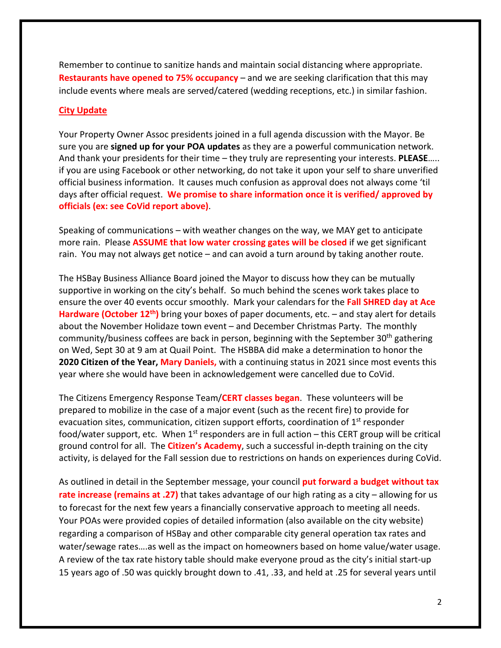Remember to continue to sanitize hands and maintain social distancing where appropriate. **Restaurants have opened to 75% occupancy** – and we are seeking clarification that this may include events where meals are served/catered (wedding receptions, etc.) in similar fashion.

#### **City Update**

Your Property Owner Assoc presidents joined in a full agenda discussion with the Mayor. Be sure you are **signed up for your POA updates** as they are a powerful communication network. And thank your presidents for their time – they truly are representing your interests. **PLEASE**….. if you are using Facebook or other networking, do not take it upon your self to share unverified official business information. It causes much confusion as approval does not always come 'til days after official request. **We promise to share information once it is verified/ approved by officials (ex: see CoVid report above)**.

Speaking of communications – with weather changes on the way, we MAY get to anticipate more rain. Please **ASSUME that low water crossing gates will be closed** if we get significant rain. You may not always get notice – and can avoid a turn around by taking another route.

The HSBay Business Alliance Board joined the Mayor to discuss how they can be mutually supportive in working on the city's behalf. So much behind the scenes work takes place to ensure the over 40 events occur smoothly. Mark your calendars for the **Fall SHRED day at Ace Hardware (October 12th)** bring your boxes of paper documents, etc. – and stay alert for details about the November Holidaze town event – and December Christmas Party. The monthly community/business coffees are back in person, beginning with the September 30<sup>th</sup> gathering on Wed, Sept 30 at 9 am at Quail Point. The HSBBA did make a determination to honor the **2020 Citizen of the Year, Mary Daniels,** with a continuing status in 2021 since most events this year where she would have been in acknowledgement were cancelled due to CoVid.

The Citizens Emergency Response Team/**CERT classes began**. These volunteers will be prepared to mobilize in the case of a major event (such as the recent fire) to provide for evacuation sites, communication, citizen support efforts, coordination of 1<sup>st</sup> responder food/water support, etc. When  $1<sup>st</sup>$  responders are in full action – this CERT group will be critical ground control for all. The **Citizen's Academy**, such a successful in-depth training on the city activity, is delayed for the Fall session due to restrictions on hands on experiences during CoVid.

As outlined in detail in the September message, your council **put forward a budget without tax rate increase (remains at .27)** that takes advantage of our high rating as a city – allowing for us to forecast for the next few years a financially conservative approach to meeting all needs. Your POAs were provided copies of detailed information (also available on the city website) regarding a comparison of HSBay and other comparable city general operation tax rates and water/sewage rates….as well as the impact on homeowners based on home value/water usage. A review of the tax rate history table should make everyone proud as the city's initial start-up 15 years ago of .50 was quickly brought down to .41, .33, and held at .25 for several years until